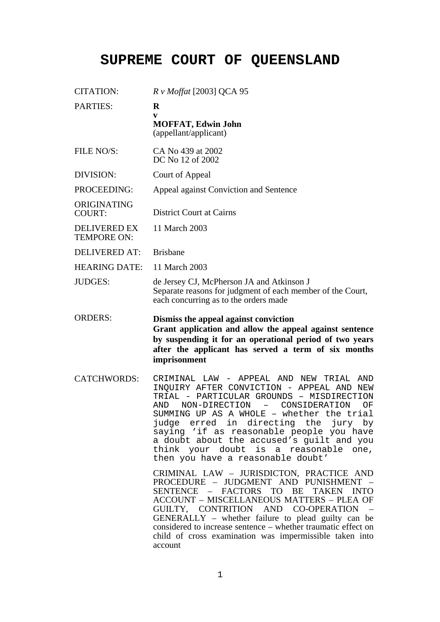## **SUPREME COURT OF QUEENSLAND**

| <b>CITATION:</b>                          | <i>R v Moffat</i> [2003] QCA 95                                                                                                                                                                                                                                                                                                                                                                                                                                                             |
|-------------------------------------------|---------------------------------------------------------------------------------------------------------------------------------------------------------------------------------------------------------------------------------------------------------------------------------------------------------------------------------------------------------------------------------------------------------------------------------------------------------------------------------------------|
| <b>PARTIES:</b>                           | $\bf{R}$<br>V<br><b>MOFFAT, Edwin John</b><br>(appellant/applicant)                                                                                                                                                                                                                                                                                                                                                                                                                         |
| FILE NO/S:                                | CA No 439 at 2002<br>DC No 12 of 2002                                                                                                                                                                                                                                                                                                                                                                                                                                                       |
| DIVISION:                                 | Court of Appeal                                                                                                                                                                                                                                                                                                                                                                                                                                                                             |
| PROCEEDING:                               | Appeal against Conviction and Sentence                                                                                                                                                                                                                                                                                                                                                                                                                                                      |
| ORIGINATING<br><b>COURT:</b>              | <b>District Court at Cairns</b>                                                                                                                                                                                                                                                                                                                                                                                                                                                             |
| <b>DELIVERED EX</b><br><b>TEMPORE ON:</b> | 11 March 2003                                                                                                                                                                                                                                                                                                                                                                                                                                                                               |
| <b>DELIVERED AT:</b>                      | <b>Brisbane</b>                                                                                                                                                                                                                                                                                                                                                                                                                                                                             |
| <b>HEARING DATE:</b>                      | 11 March 2003                                                                                                                                                                                                                                                                                                                                                                                                                                                                               |
| <b>JUDGES:</b>                            | de Jersey CJ, McPherson JA and Atkinson J<br>Separate reasons for judgment of each member of the Court,<br>each concurring as to the orders made                                                                                                                                                                                                                                                                                                                                            |
| <b>ORDERS:</b>                            | Dismiss the appeal against conviction<br>Grant application and allow the appeal against sentence<br>by suspending it for an operational period of two years<br>after the applicant has served a term of six months<br>imprisonment                                                                                                                                                                                                                                                          |
| <b>CATCHWORDS:</b>                        | CRIMINAL LAW - APPEAL AND<br>NEW<br><b>AND</b><br>TRIAL<br>INQUIRY AFTER CONVICTION - APPEAL AND<br>NEW<br>TRIAL - PARTICULAR GROUNDS - MISDIRECTION<br>NON-DIRECTION<br>CONSIDERATION<br>ΟF<br>AND<br>$\overline{\phantom{m}}$<br>SUMMING UP AS A WHOLE - whether the trial<br>judge erred in directing the jury by<br>saying 'if as reasonable people you have<br>a doubt about the accused's guilt and you<br>think your doubt is a reasonable one,<br>then you have a reasonable doubt' |
|                                           | CRIMINAL LAW - JURISDICTON, PRACTICE AND<br>PROCEDURE - JUDGMENT AND PUNISHMENT -<br>SENTENCE - FACTORS TO BE TAKEN INTO<br><b>ACCOUNT - MISCELLANEOUS MATTERS - PLEA OF</b><br>GUILTY, CONTRITION AND CO-OPERATION<br>GENERALLY – whether failure to plead guilty can be<br>considered to increase sentence – whether traumatic effect on<br>child of cross examination was impermissible taken into<br>account                                                                            |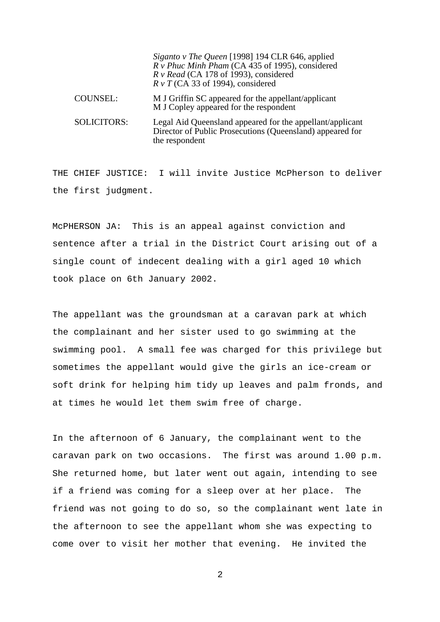|                    | Siganto v The Queen [1998] 194 CLR 646, applied<br>R v Phuc Minh Pham (CA 435 of 1995), considered<br>$R$ v Read (CA 178 of 1993), considered<br>$R \nu T$ (CA 33 of 1994), considered |
|--------------------|----------------------------------------------------------------------------------------------------------------------------------------------------------------------------------------|
| <b>COUNSEL:</b>    | M J Griffin SC appeared for the appellant/applicant<br>M J Copley appeared for the respondent                                                                                          |
| <b>SOLICITORS:</b> | Legal Aid Queensland appeared for the appellant/applicant<br>Director of Public Prosecutions (Queensland) appeared for<br>the respondent                                               |

THE CHIEF JUSTICE: I will invite Justice McPherson to deliver the first judgment.

McPHERSON JA: This is an appeal against conviction and sentence after a trial in the District Court arising out of a single count of indecent dealing with a girl aged 10 which took place on 6th January 2002.

The appellant was the groundsman at a caravan park at which the complainant and her sister used to go swimming at the swimming pool. A small fee was charged for this privilege but sometimes the appellant would give the girls an ice-cream or soft drink for helping him tidy up leaves and palm fronds, and at times he would let them swim free of charge.

In the afternoon of 6 January, the complainant went to the caravan park on two occasions. The first was around 1.00 p.m. She returned home, but later went out again, intending to see if a friend was coming for a sleep over at her place. The friend was not going to do so, so the complainant went late in the afternoon to see the appellant whom she was expecting to come over to visit her mother that evening. He invited the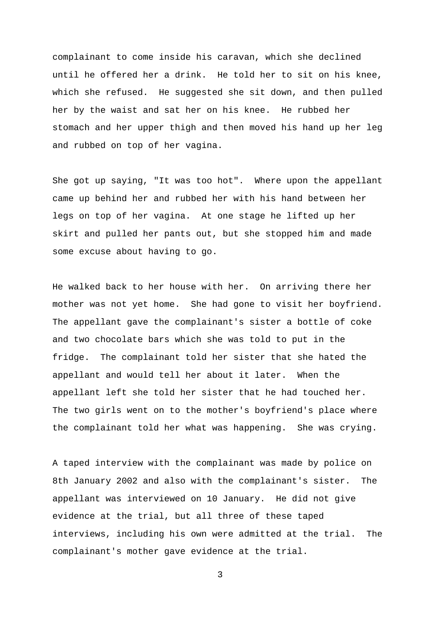complainant to come inside his caravan, which she declined until he offered her a drink. He told her to sit on his knee, which she refused. He suggested she sit down, and then pulled her by the waist and sat her on his knee. He rubbed her stomach and her upper thigh and then moved his hand up her leg and rubbed on top of her vagina.

She got up saying, "It was too hot". Where upon the appellant came up behind her and rubbed her with his hand between her legs on top of her vagina. At one stage he lifted up her skirt and pulled her pants out, but she stopped him and made some excuse about having to go.

He walked back to her house with her. On arriving there her mother was not yet home. She had gone to visit her boyfriend. The appellant gave the complainant's sister a bottle of coke and two chocolate bars which she was told to put in the fridge. The complainant told her sister that she hated the appellant and would tell her about it later. When the appellant left she told her sister that he had touched her. The two girls went on to the mother's boyfriend's place where the complainant told her what was happening. She was crying.

A taped interview with the complainant was made by police on 8th January 2002 and also with the complainant's sister. The appellant was interviewed on 10 January. He did not give evidence at the trial, but all three of these taped interviews, including his own were admitted at the trial. The complainant's mother gave evidence at the trial.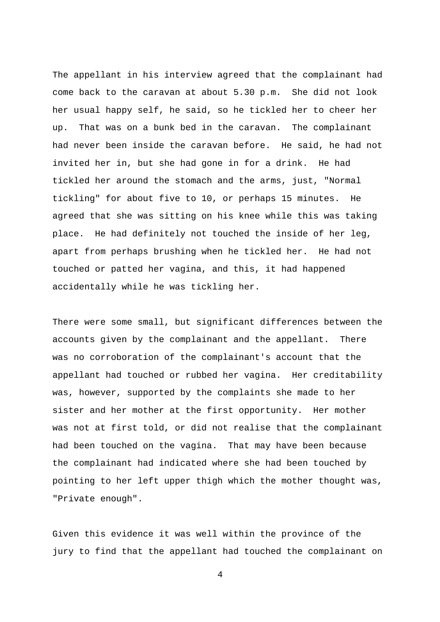The appellant in his interview agreed that the complainant had come back to the caravan at about 5.30 p.m. She did not look her usual happy self, he said, so he tickled her to cheer her up. That was on a bunk bed in the caravan. The complainant had never been inside the caravan before. He said, he had not invited her in, but she had gone in for a drink. He had tickled her around the stomach and the arms, just, "Normal tickling" for about five to 10, or perhaps 15 minutes. He agreed that she was sitting on his knee while this was taking place. He had definitely not touched the inside of her leg, apart from perhaps brushing when he tickled her. He had not touched or patted her vagina, and this, it had happened accidentally while he was tickling her.

There were some small, but significant differences between the accounts given by the complainant and the appellant. There was no corroboration of the complainant's account that the appellant had touched or rubbed her vagina. Her creditability was, however, supported by the complaints she made to her sister and her mother at the first opportunity. Her mother was not at first told, or did not realise that the complainant had been touched on the vagina. That may have been because the complainant had indicated where she had been touched by pointing to her left upper thigh which the mother thought was, "Private enough".

Given this evidence it was well within the province of the jury to find that the appellant had touched the complainant on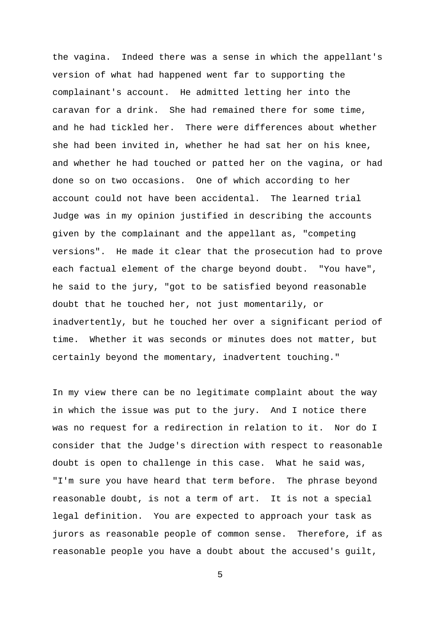the vagina. Indeed there was a sense in which the appellant's version of what had happened went far to supporting the complainant's account. He admitted letting her into the caravan for a drink. She had remained there for some time, and he had tickled her. There were differences about whether she had been invited in, whether he had sat her on his knee, and whether he had touched or patted her on the vagina, or had done so on two occasions. One of which according to her account could not have been accidental. The learned trial Judge was in my opinion justified in describing the accounts given by the complainant and the appellant as, "competing versions". He made it clear that the prosecution had to prove each factual element of the charge beyond doubt. "You have", he said to the jury, "got to be satisfied beyond reasonable doubt that he touched her, not just momentarily, or inadvertently, but he touched her over a significant period of time. Whether it was seconds or minutes does not matter, but certainly beyond the momentary, inadvertent touching."

In my view there can be no legitimate complaint about the way in which the issue was put to the jury. And I notice there was no request for a redirection in relation to it. Nor do I consider that the Judge's direction with respect to reasonable doubt is open to challenge in this case. What he said was, "I'm sure you have heard that term before. The phrase beyond reasonable doubt, is not a term of art. It is not a special legal definition. You are expected to approach your task as jurors as reasonable people of common sense. Therefore, if as reasonable people you have a doubt about the accused's guilt,

 $\sim$  5  $\sim$  5  $\sim$  5  $\sim$  5  $\sim$  5  $\sim$  5  $\sim$  5  $\sim$  5  $\sim$  5  $\sim$  5  $\sim$  5  $\sim$  5  $\sim$  5  $\sim$  5  $\sim$  5  $\sim$  5  $\sim$  5  $\sim$  5  $\sim$  5  $\sim$  5  $\sim$  5  $\sim$  5  $\sim$  5  $\sim$  5  $\sim$  5  $\sim$  5  $\sim$  5  $\sim$  5  $\sim$  5  $\sim$  5  $\sim$  5  $\sim$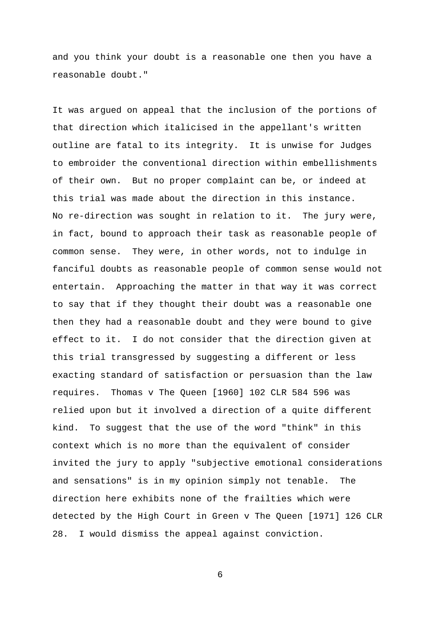and you think your doubt is a reasonable one then you have a reasonable doubt."

It was argued on appeal that the inclusion of the portions of that direction which italicised in the appellant's written outline are fatal to its integrity. It is unwise for Judges to embroider the conventional direction within embellishments of their own. But no proper complaint can be, or indeed at this trial was made about the direction in this instance. No re-direction was sought in relation to it. The jury were, in fact, bound to approach their task as reasonable people of common sense. They were, in other words, not to indulge in fanciful doubts as reasonable people of common sense would not entertain. Approaching the matter in that way it was correct to say that if they thought their doubt was a reasonable one then they had a reasonable doubt and they were bound to give effect to it. I do not consider that the direction given at this trial transgressed by suggesting a different or less exacting standard of satisfaction or persuasion than the law requires. Thomas v The Queen [1960] 102 CLR 584 596 was relied upon but it involved a direction of a quite different kind. To suggest that the use of the word "think" in this context which is no more than the equivalent of consider invited the jury to apply "subjective emotional considerations and sensations" is in my opinion simply not tenable. The direction here exhibits none of the frailties which were detected by the High Court in Green v The Queen [1971] 126 CLR 28. I would dismiss the appeal against conviction.

 $\sim$  6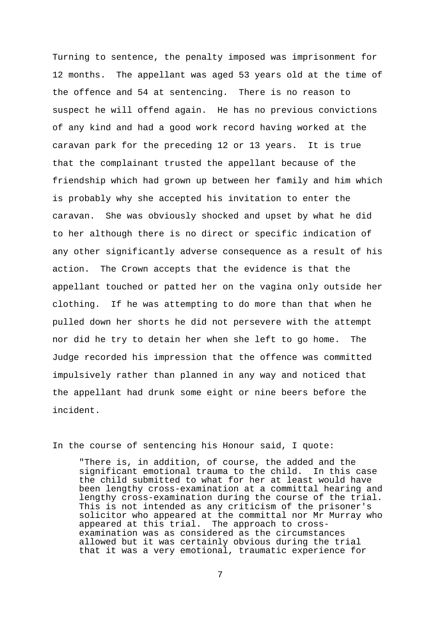Turning to sentence, the penalty imposed was imprisonment for 12 months. The appellant was aged 53 years old at the time of the offence and 54 at sentencing. There is no reason to suspect he will offend again. He has no previous convictions of any kind and had a good work record having worked at the caravan park for the preceding 12 or 13 years. It is true that the complainant trusted the appellant because of the friendship which had grown up between her family and him which is probably why she accepted his invitation to enter the caravan. She was obviously shocked and upset by what he did to her although there is no direct or specific indication of any other significantly adverse consequence as a result of his action. The Crown accepts that the evidence is that the appellant touched or patted her on the vagina only outside her clothing. If he was attempting to do more than that when he pulled down her shorts he did not persevere with the attempt nor did he try to detain her when she left to go home. The Judge recorded his impression that the offence was committed impulsively rather than planned in any way and noticed that the appellant had drunk some eight or nine beers before the incident.

## In the course of sentencing his Honour said, I quote:

"There is, in addition, of course, the added and the significant emotional trauma to the child. In this case the child submitted to what for her at least would have been lengthy cross-examination at a committal hearing and lengthy cross-examination during the course of the trial. This is not intended as any criticism of the prisoner's solicitor who appeared at the committal nor Mr Murray who appeared at this trial. The approach to crossexamination was as considered as the circumstances allowed but it was certainly obvious during the trial that it was a very emotional, traumatic experience for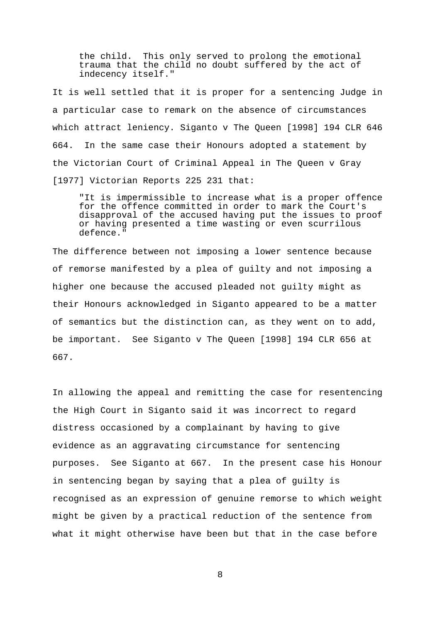the child. This only served to prolong the emotional trauma that the child no doubt suffered by the act of indecency itself."

It is well settled that it is proper for a sentencing Judge in a particular case to remark on the absence of circumstances which attract leniency. Siganto v The Queen [1998] 194 CLR 646 664. In the same case their Honours adopted a statement by the Victorian Court of Criminal Appeal in The Queen v Gray [1977] Victorian Reports 225 231 that:

"It is impermissible to increase what is a proper offence for the offence committed in order to mark the Court's disapproval of the accused having put the issues to proof or having presented a time wasting or even scurrilous defence."

The difference between not imposing a lower sentence because of remorse manifested by a plea of guilty and not imposing a higher one because the accused pleaded not guilty might as their Honours acknowledged in Siganto appeared to be a matter of semantics but the distinction can, as they went on to add, be important. See Siganto v The Queen [1998] 194 CLR 656 at 667.

In allowing the appeal and remitting the case for resentencing the High Court in Siganto said it was incorrect to regard distress occasioned by a complainant by having to give evidence as an aggravating circumstance for sentencing purposes. See Siganto at 667. In the present case his Honour in sentencing began by saying that a plea of guilty is recognised as an expression of genuine remorse to which weight might be given by a practical reduction of the sentence from what it might otherwise have been but that in the case before

8 and 2012 and 30 and 30 and 30 and 30 and 30 and 30 and 30 and 30 and 30 and 30 and 30 and 30 and 30 and 30 a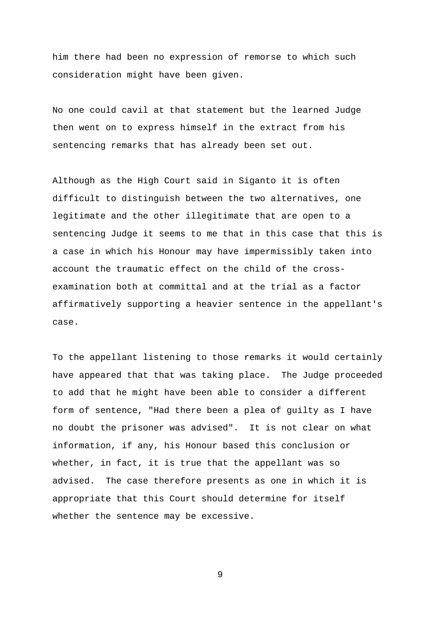him there had been no expression of remorse to which such consideration might have been given.

No one could cavil at that statement but the learned Judge then went on to express himself in the extract from his sentencing remarks that has already been set out.

Although as the High Court said in Siganto it is often difficult to distinguish between the two alternatives, one legitimate and the other illegitimate that are open to a sentencing Judge it seems to me that in this case that this is a case in which his Honour may have impermissibly taken into account the traumatic effect on the child of the crossexamination both at committal and at the trial as a factor affirmatively supporting a heavier sentence in the appellant's case.

To the appellant listening to those remarks it would certainly have appeared that that was taking place. The Judge proceeded to add that he might have been able to consider a different form of sentence, "Had there been a plea of guilty as I have no doubt the prisoner was advised". It is not clear on what information, if any, his Honour based this conclusion or whether, in fact, it is true that the appellant was so advised. The case therefore presents as one in which it is appropriate that this Court should determine for itself whether the sentence may be excessive.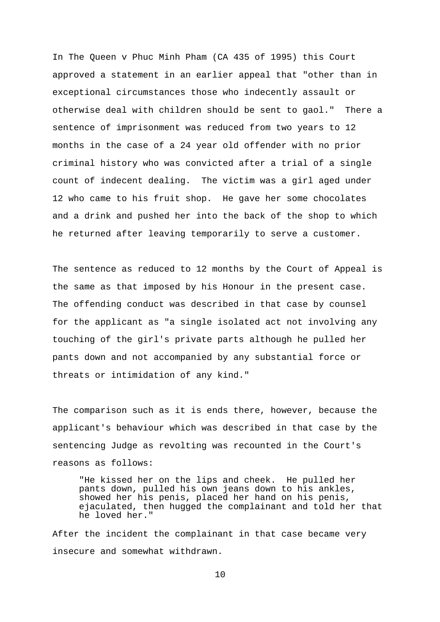In The Queen v Phuc Minh Pham (CA 435 of 1995) this Court approved a statement in an earlier appeal that "other than in exceptional circumstances those who indecently assault or otherwise deal with children should be sent to gaol." There a sentence of imprisonment was reduced from two years to 12 months in the case of a 24 year old offender with no prior criminal history who was convicted after a trial of a single count of indecent dealing. The victim was a girl aged under 12 who came to his fruit shop. He gave her some chocolates and a drink and pushed her into the back of the shop to which he returned after leaving temporarily to serve a customer.

The sentence as reduced to 12 months by the Court of Appeal is the same as that imposed by his Honour in the present case. The offending conduct was described in that case by counsel for the applicant as "a single isolated act not involving any touching of the girl's private parts although he pulled her pants down and not accompanied by any substantial force or threats or intimidation of any kind."

The comparison such as it is ends there, however, because the applicant's behaviour which was described in that case by the sentencing Judge as revolting was recounted in the Court's reasons as follows:

"He kissed her on the lips and cheek. He pulled her pants down, pulled his own jeans down to his ankles, showed her his penis, placed her hand on his penis, ejaculated, then hugged the complainant and told her that he loved her."

After the incident the complainant in that case became very insecure and somewhat withdrawn.